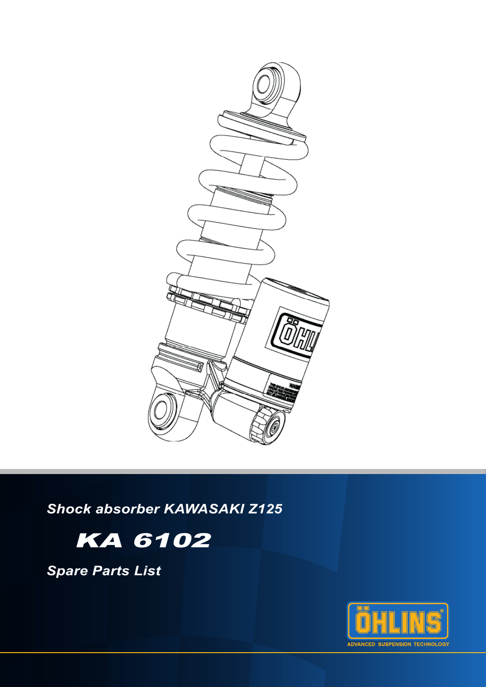

*Shock absorber KAWASAKI Z125*



*Spare Parts List*

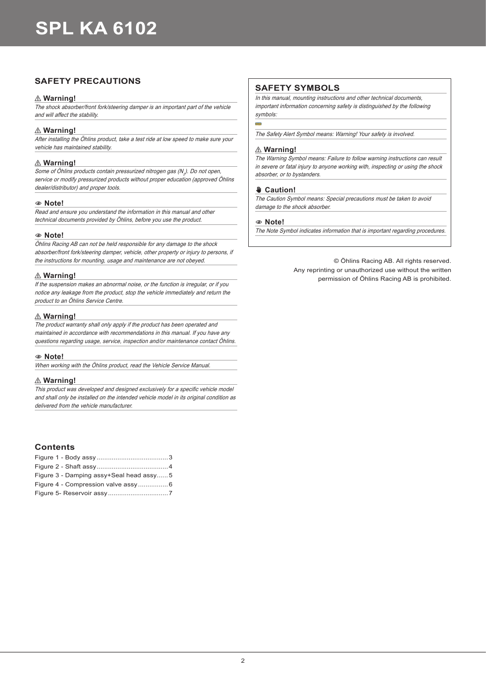## **SAFETY PRECAUTIONS**

### ⚠ **Warning!**

The shock absorber/front fork/steering damper is an important part of the vehicle and will affect the stability.

### ⚠ **Warning!**

After installing the Öhlins product, take a test ride at low speed to make sure your vehicle has maintained stability.

### ⚠ **Warning!**

Some of Öhlins products contain pressurized nitrogen gas (N<sub>2</sub>). Do not open, service or modify pressurized products without proper education (approved Öhlins dealer/distributor) and proper tools.

#### 1**1 Note!**

Read and ensure you understand the information in this manual and other technical documents provided by Öhlins, before you use the product.

#### 1**1 Note!**

Öhlins Racing AB can not be held responsible for any damage to the shock absorber/front fork/steering damper, vehicle, other property or injury to persons, if the instructions for mounting, usage and maintenance are not obeyed.

#### ⚠ **Warning!**

If the suspension makes an abnormal noise, or the function is irregular, or if you notice any leakage from the product, stop the vehicle immediately and return the product to an Öhlins Service Centre.

#### ⚠ **Warning!**

The product warranty shall only apply if the product has been operated and maintained in accordance with recommendations in this manual. If you have any questions regarding usage, service, inspection and/or maintenance contact Öhlins.

#### 1**1 Note!**

When working with the Öhlins product, read the Vehicle Service Manual.

#### ⚠ **Warning!**

This product was developed and designed exclusively for a specific vehicle model and shall only be installed on the intended vehicle model in its original condition as delivered from the vehicle manufacturer.

### **Contents**

| Figure 3 - Damping assy+Seal head assy5 |  |
|-----------------------------------------|--|
|                                         |  |
|                                         |  |

### **SAFETY SYMBOLS**

In this manual, mounting instructions and other technical documents, important information concerning safety is distinguished by the following symbols:

The Safety Alert Symbol means: Warning! Your safety is involved.

#### ⚠ **Warning!**

The Warning Symbol means: Failure to follow warning instructions can result in severe or fatal injury to anyone working with, inspecting or using the shock absorber, or to bystanders.

#### ✋**✋ Caution!**

The Caution Symbol means: Special precautions must be taken to avoid damage to the shock absorber.

#### 1**1 Note!**

The Note Symbol indicates information that is important regarding procedures.

© Öhlins Racing AB. All rights reserved. Any reprinting or unauthorized use without the written permission of Öhlins Racing AB is prohibited.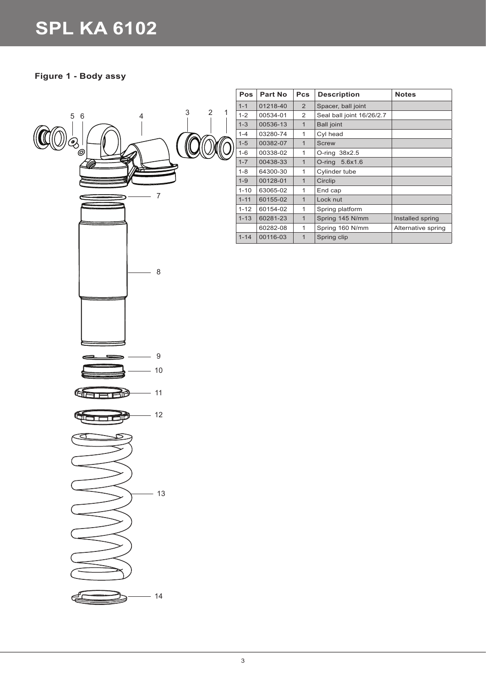## **Figure 1 - Body assy**



| Pos      | Part No  | <b>Pcs</b>     | <b>Description</b>        | <b>Notes</b>       |
|----------|----------|----------------|---------------------------|--------------------|
| $1 - 1$  | 01218-40 | $\overline{2}$ | Spacer, ball joint        |                    |
| $1 - 2$  | 00534-01 | 2              | Seal ball joint 16/26/2.7 |                    |
| $1 - 3$  | 00536-13 | $\mathbf{1}$   | <b>Ball joint</b>         |                    |
| $1 - 4$  | 03280-74 | 1              | Cyl head                  |                    |
| $1 - 5$  | 00382-07 | $\mathbf{1}$   | <b>Screw</b>              |                    |
| $1 - 6$  | 00338-02 | 1              | O-ring 38x2.5             |                    |
| $1 - 7$  | 00438-33 | $\mathbf{1}$   | O-ring 5.6x1.6            |                    |
| $1 - 8$  | 64300-30 | 1              | Cylinder tube             |                    |
| $1-9$    | 00128-01 | $\mathbf{1}$   | Circlip                   |                    |
| $1 - 10$ | 63065-02 | 1              | End cap                   |                    |
| $1 - 11$ | 60155-02 | $\mathbf{1}$   | Lock nut                  |                    |
| $1 - 12$ | 60154-02 | 1              | Spring platform           |                    |
| $1 - 13$ | 60281-23 | $\overline{1}$ | Spring 145 N/mm           | Installed spring   |
|          | 60282-08 | 1              | Spring 160 N/mm           | Alternative spring |
| $1 - 14$ | 00116-03 | $\overline{1}$ | Spring clip               |                    |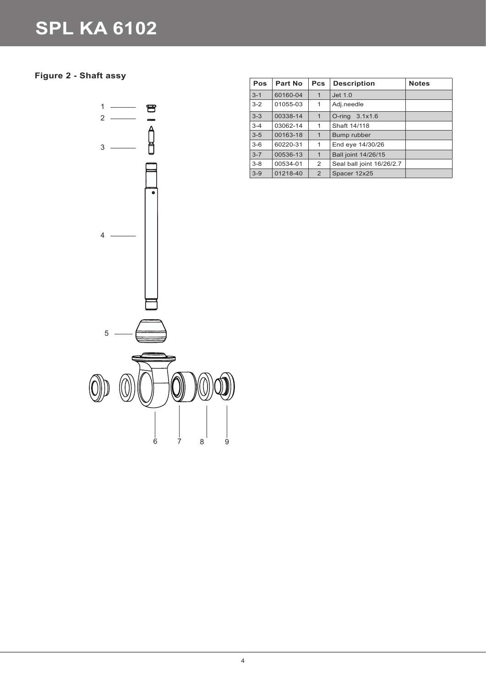## **Figure 2 - Shaft assy**



| <b>Pos</b> | <b>Part No</b> | <b>Pcs</b>   | <b>Description</b>        | <b>Notes</b> |
|------------|----------------|--------------|---------------------------|--------------|
| $3 - 1$    | 60160-04       | $\mathbf 1$  | Jet 1.0                   |              |
| $3 - 2$    | 01055-03       | 1            | Adj.needle                |              |
| $3 - 3$    | 00338-14       | $\mathbf{1}$ | O-ring $3.1x1.6$          |              |
| $3 - 4$    | 03062-14       | 1            | Shaft 14/118              |              |
| $3 - 5$    | 00163-18       | 1            | Bump rubber               |              |
| $3-6$      | 60220-31       | 1            | End eye 14/30/26          |              |
| $3 - 7$    | 00536-13       | $\mathbf{1}$ | Ball joint 14/26/15       |              |
| $3 - 8$    | 00534-01       | 2            | Seal ball joint 16/26/2.7 |              |
| $3 - 9$    | 01218-40       | 2            | Spacer 12x25              |              |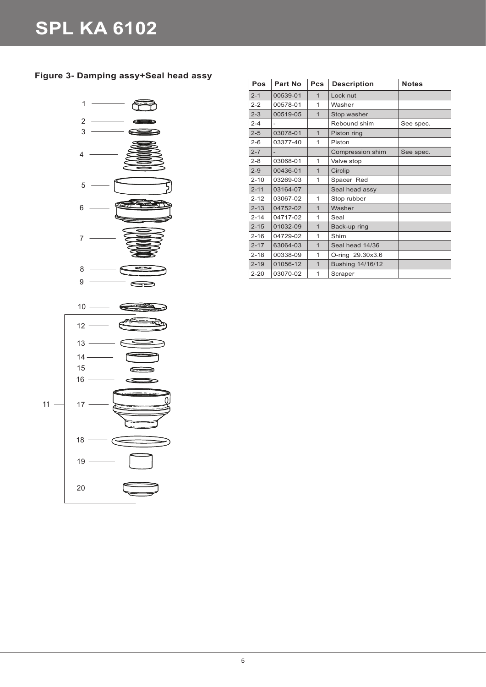## **Figure 3- Damping assy+Seal head assy**



| Pos      | Part No  | <b>Pcs</b>     | <b>Description</b> | <b>Notes</b> |
|----------|----------|----------------|--------------------|--------------|
| $2 - 1$  | 00539-01 | $\mathbf{1}$   | Lock nut           |              |
| $2 - 2$  | 00578-01 | $\mathbf{1}$   | Washer             |              |
| $2 - 3$  | 00519-05 | $\mathbf{1}$   | Stop washer        |              |
| $2 - 4$  |          |                | Rebound shim       | See spec.    |
| $2 - 5$  | 03078-01 | $\overline{1}$ | Piston ring        |              |
| $2 - 6$  | 03377-40 | 1              | Piston             |              |
| $2 - 7$  |          |                | Compression shim   | See spec.    |
| $2 - 8$  | 03068-01 | $\mathbf{1}$   | Valve stop         |              |
| $2 - 9$  | 00436-01 | $\mathbf{1}$   | Circlip            |              |
| $2 - 10$ | 03269-03 | $\mathbf{1}$   | Spacer Red         |              |
| $2 - 11$ | 03164-07 |                | Seal head assy     |              |
| $2 - 12$ | 03067-02 | 1              | Stop rubber        |              |
| $2 - 13$ | 04752-02 | $\overline{1}$ | Washer             |              |
| $2 - 14$ | 04717-02 | $\mathbf{1}$   | Seal               |              |
| $2 - 15$ | 01032-09 | $\overline{1}$ | Back-up ring       |              |
| $2 - 16$ | 04729-02 | $\mathbf{1}$   | Shim               |              |
| $2 - 17$ | 63064-03 | $\overline{1}$ | Seal head 14/36    |              |
| $2 - 18$ | 00338-09 | $\mathbf{1}$   | O-ring 29.30x3.6   |              |
| $2 - 19$ | 01056-12 | $\overline{1}$ | Bushing 14/16/12   |              |
| $2 - 20$ | 03070-02 | 1              | Scraper            |              |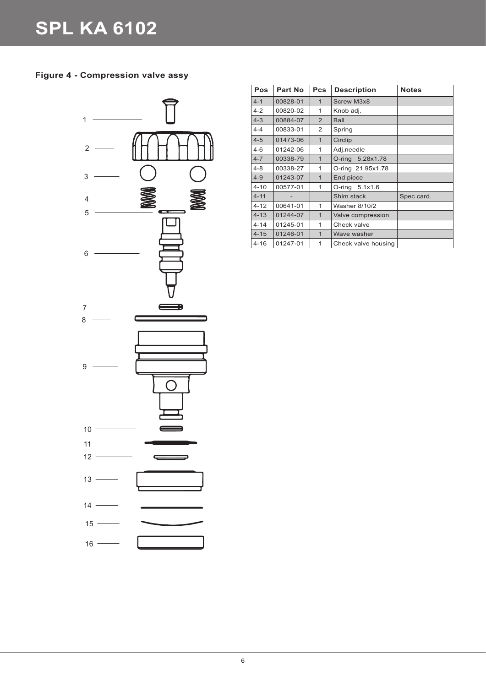## **Figure 4 - Compression valve assy**



| Pos      | <b>Part No</b> | <b>Pcs</b>     | <b>Description</b>   | <b>Notes</b> |
|----------|----------------|----------------|----------------------|--------------|
| $4 - 1$  | 00828-01       | $\mathbf{1}$   | <b>Screw M3x8</b>    |              |
| $4 - 2$  | 00820-02       | 1              | Knob adj.            |              |
| $4 - 3$  | 00884-07       | 2              | <b>Ball</b>          |              |
| $4 - 4$  | 00833-01       | 2              | Spring               |              |
| $4 - 5$  | 01473-06       | $\mathbf{1}$   | Circlip              |              |
| $4 - 6$  | 01242-06       | 1              | Adj.needle           |              |
| $4 - 7$  | 00338-79       | $\mathbf{1}$   | O-ring 5.28x1.78     |              |
| $4 - 8$  | 00338-27       | 1              | O-ring 21.95x1.78    |              |
| $4 - 9$  | 01243-07       | $\overline{1}$ | End piece            |              |
| $4 - 10$ | 00577-01       | 1              | O-ring 5.1x1.6       |              |
| $4 - 11$ |                |                | Shim stack           | Spec card.   |
| $4 - 12$ | 00641-01       | $\mathbf{1}$   | <b>Washer 8/10/2</b> |              |
| $4 - 13$ | 01244-07       | $\mathbf{1}$   | Valve compression    |              |
| $4 - 14$ | 01245-01       | 1              | Check valve          |              |
| $4 - 15$ | 01246-01       | $\mathbf{1}$   | Wave washer          |              |
| $4 - 16$ | 01247-01       | 1              | Check valve housing  |              |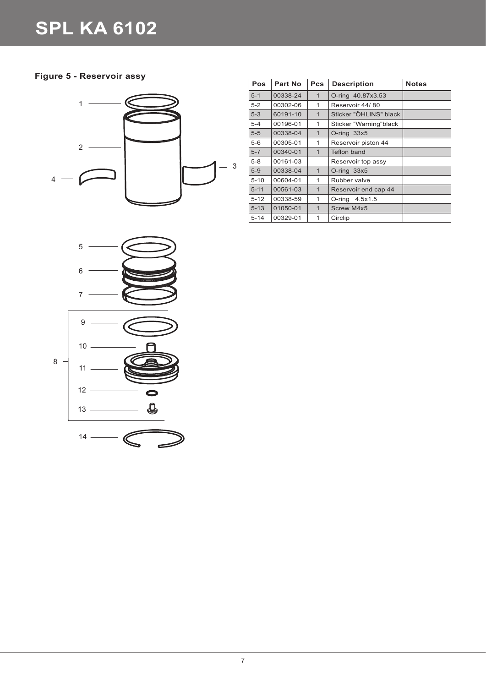## **Figure 5 - Reservoir assy**



| <b>Pos</b> | Part No  | <b>Pcs</b>     | <b>Description</b>     | <b>Notes</b> |
|------------|----------|----------------|------------------------|--------------|
| $5 - 1$    | 00338-24 | $\mathbf{1}$   | O-ring 40.87x3.53      |              |
| $5-2$      | 00302-06 | 1              | Reservoir 44/80        |              |
| $5-3$      | 60191-10 | $\mathbf{1}$   | Sticker "ÖHLINS" black |              |
| $5 - 4$    | 00196-01 | 1              | Sticker "Warning"black |              |
| $5-5$      | 00338-04 | $\overline{1}$ | $O$ -ring $33x5$       |              |
| $5-6$      | 00305-01 | 1              | Reservoir piston 44    |              |
| $5 - 7$    | 00340-01 | $\overline{1}$ | Teflon band            |              |
| $5 - 8$    | 00161-03 |                | Reservoir top assy     |              |
| $5-9$      | 00338-04 | $\mathbf{1}$   | O-ring 33x5            |              |
| $5 - 10$   | 00604-01 | 1              | Rubber valve           |              |
| $5 - 11$   | 00561-03 | $\overline{1}$ | Reservoir end cap 44   |              |
| $5 - 12$   | 00338-59 | 1              | O-ring 4.5x1.5         |              |
| $5 - 13$   | 01050-01 | $\overline{1}$ | Screw M4x5             |              |
| $5 - 14$   | 00329-01 | 1              | Circlip                |              |